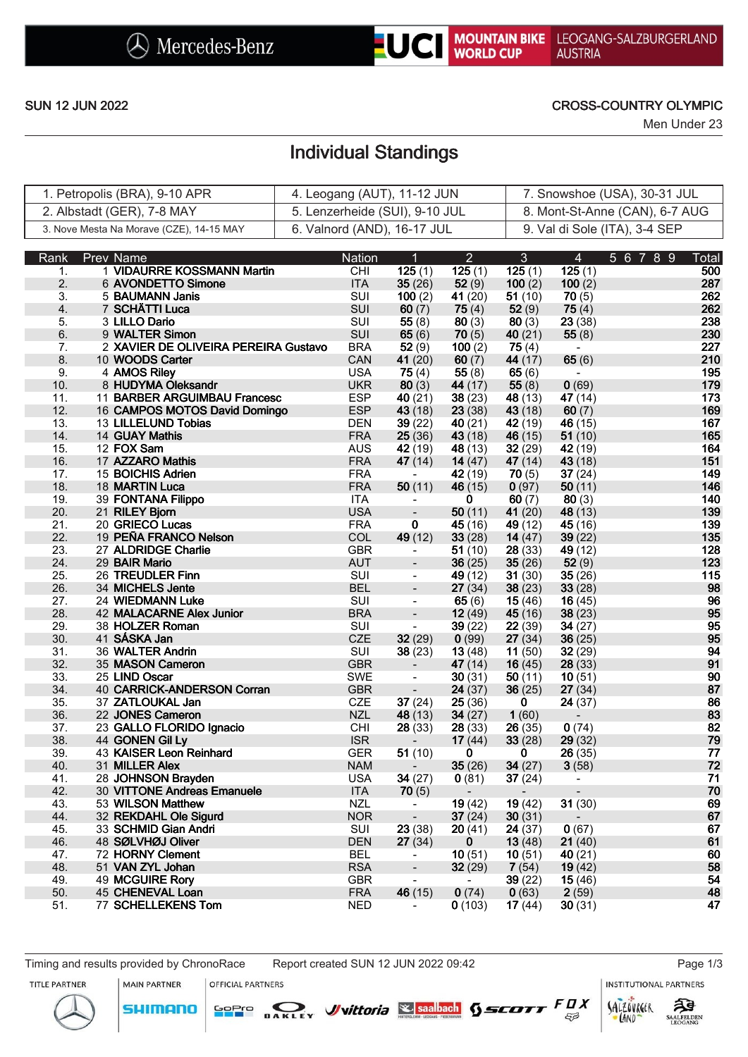

## SUN 12 JUN 2022 CROSS-COUNTRY OLYMPIC

Men Under 23

# Individual Standings

| 1. Petropolis (BRA), 9-10 APR            | 4. Leogang (AUT), 11-12 JUN    | 7. Snowshoe (USA), 30-31 JUL   |
|------------------------------------------|--------------------------------|--------------------------------|
| 2. Albstadt (GER), 7-8 MAY               | 5. Lenzerheide (SUI), 9-10 JUL | 8. Mont-St-Anne (CAN), 6-7 AUG |
| 3. Nove Mesta Na Morave (CZE), 14-15 MAY | 6. Valnord (AND), 16-17 JUL    | 9. Val di Sole (ITA), 3-4 SEP  |

| Rank             | Prev Name                                                | Nation                   | 1                                                    | $\overline{2}$                    | $\mathbf{3}$     | $\overline{4}$           | 5 6 7 8 9 | Total    |
|------------------|----------------------------------------------------------|--------------------------|------------------------------------------------------|-----------------------------------|------------------|--------------------------|-----------|----------|
| 1.               | 1 VIDAURRE KOSSMANN Martin                               | CHI                      | $\overline{125}$ (1)                                 | 125(1)                            | 125(1)           | $\overline{125}$ (1)     |           | 500      |
| 2.               | 6 AVONDETTO Simone                                       | <b>ITA</b>               | 35(26)                                               | 52(9)                             | 100(2)           | 100(2)                   |           | 287      |
| 3.               | 5 BAUMANN Janis                                          | SUI                      | 100(2)                                               | 41 $(20)$                         | 51(10)           | 70(5)                    |           | 262      |
| $\overline{4}$ . | 7 SCHÄTTI Luca                                           | SUI                      | 60(7)                                                | 75(4)                             | 52(9)            | 75(4)                    |           | 262      |
| 5.               | 3 LILLO Dario                                            | SUI                      | 55(8)                                                | 80(3)                             | 80(3)            | 23(38)                   |           | 238      |
| 6.               | 9 WALTER Simon                                           | SUI                      | 65(6)                                                | 70(5)                             | 40(21)           | 55(8)                    |           | 230      |
| 7.               | 2 XAVIER DE OLIVEIRA PEREIRA Gustavo                     | <b>BRA</b>               | 52(9)                                                | 100(2)                            | 75(4)            | $\blacksquare$           |           | 227      |
| 8.               | 10 WOODS Carter                                          | CAN                      | 41(20)                                               | 60(7)                             | 44 (17)          | 65(6)                    |           | 210      |
| 9.               | 4 AMOS Riley                                             | <b>USA</b>               | 75(4)                                                | 55 $(8)$                          | 65(6)            | $\overline{\phantom{a}}$ |           | 195      |
| 10.              | 8 HUDYMA Oleksandr                                       | <b>UKR</b>               | 80(3)                                                | 44 (17)                           | 55(8)            | 0(69)                    |           | 179      |
| 11.              | 11 BARBER ARGUIMBAU Francesc                             | <b>ESP</b>               | 40 $(21)$                                            | 38(23)                            | 48 (13)          | 47(14)                   |           | 173      |
| 12.              | 16 CAMPOS MOTOS David Domingo                            | <b>ESP</b>               | 43(18)                                               | 23(38)                            | 43 (18)          | 60(7)                    |           | 169      |
| 13.              | 13 LILLELUND Tobias                                      | <b>DEN</b>               | 39(22)                                               | 40(21)                            | 42(19)           | 46(15)                   |           | 167      |
| 14.              | 14 GUAY Mathis                                           | <b>FRA</b>               | 25(36)                                               | 43(18)                            | 46 (15)          | 51(10)                   |           | 165      |
| 15.              | 12 FOX Sam                                               | <b>AUS</b>               | 42 (19)                                              | 48 (13)                           | 32(29)           | 42(19)                   |           | 164      |
| 16.              | 17 AZZARO Mathis                                         | <b>FRA</b>               | 47(14)                                               | 14 $(47)$                         | 47 (14)          | 43 (18)                  |           | 151      |
| 17.              | 15 BOICHIS Adrien                                        | <b>FRA</b>               | $\blacksquare$                                       | 42 (19)                           | 70(5)            | 37(24)                   |           | 149      |
| 18.              | 18 MARTIN Luca                                           | <b>FRA</b>               | 50(11)                                               | 46(15)                            | 0(97)            | 50(11)                   |           | 146      |
| 19.              | 39 FONTANA Filippo                                       | <b>ITA</b>               | $\blacksquare$                                       | 0                                 | 60(7)            | 80(3)                    |           | 140      |
| 20.              | 21 RILEY Bjorn                                           | <b>USA</b>               | $\overline{\phantom{a}}$                             | 50(11)                            | 41(20)           | 48 (13)                  |           | 139      |
| 21.              | 20 GRIECO Lucas                                          | <b>FRA</b>               | $\overline{\mathbf{0}}$                              | 45(16)                            | 49 $(12)$        | 45 $(16)$                |           | 139      |
| 22.              | 19 PEÑA FRANCO Nelson                                    | COL                      | 49 (12)                                              | 33(28)                            | 14 $(47)$        | 39(22)                   |           | 135      |
| 23.              | 27 ALDRIDGE Charlie                                      | <b>GBR</b>               | $\blacksquare$                                       | 51(10)                            | 28(33)           | 49(12)                   |           | 128      |
| 24.              | 29 BAIR Mario                                            | <b>AUT</b>               | $\blacksquare$                                       | 36(25)                            | 35(26)           | 52(9)                    |           | 123      |
| 25.              | 26 TREUDLER Finn                                         | SUI                      | $\overline{\phantom{a}}$                             | 49 (12)                           | 31(30)           | 35(26)                   |           | 115      |
| 26.              | 34 MICHELS Jente                                         | <b>BEL</b>               | $\Box$                                               | 27(34)                            | 38(23)           | 33(28)                   |           | 98       |
| 27.              | 24 WIEDMANN Luke                                         | SUI                      | $\blacksquare$                                       | 65(6)                             | 15(46)           | 16(45)                   |           | 96       |
| 28.              | <b>42 MALACARNE Alex Junior</b>                          | <b>BRA</b>               | $\overline{\phantom{a}}$                             | 12(49)                            | 45(16)           | 38(23)                   |           | 95       |
| 29.              | 38 HOLZER Roman                                          | SUI                      | $\blacksquare$                                       | 39(22)                            | 22(39)           | 34(27)                   |           | 95       |
| 30.              | 41 SÁSKA Jan                                             | <b>CZE</b>               | 32(29)                                               | 0(99)                             | 27(34)           | 36(25)                   |           | 95       |
| 31.              | 36 WALTER Andrin                                         | SUI                      | 38(23)                                               | 13(48)                            | 11 $(50)$        | 32(29)                   |           | 94       |
| 32.              | 35 MASON Cameron                                         | <b>GBR</b>               | $\overline{\phantom{a}}$                             | 47 $(14)$                         | 16(45)           | 28(33)                   |           | 91       |
| 33.              | 25 LIND Oscar                                            | SWE                      | $\overline{\phantom{a}}$                             | 30(31)                            | 50(11)           | 10(51)                   |           | 90       |
| 34.              | 40 CARRICK-ANDERSON Corran                               | <b>GBR</b>               | $\blacksquare$                                       | 24(37)                            | 36(25)           | 27(34)                   |           | 87       |
| 35.              | 37 ZATLOUKAL Jan                                         | <b>CZE</b>               | 37(24)                                               | 25(36)                            | 0                | 24(37)                   |           | 86       |
| 36.              | 22 JONES Cameron                                         | <b>NZL</b>               | 48(13)                                               | 34(27)                            | 1(60)            | $\overline{\phantom{a}}$ |           | 83       |
| 37.              | 23 GALLO FLORIDO Ignacio                                 | <b>CHI</b>               | 28(33)                                               | 28(33)                            | 26(35)           | 0(74)                    |           | 82       |
| 38.<br>39.       | 44 GONEN Gil Ly<br>43 KAISER Leon Reinhard               | <b>ISR</b><br><b>GER</b> | 51(10)                                               | 17(44)                            | 33(28)           | 29(32)                   |           | 79<br>77 |
| 40.              | 31 MILLER Alex                                           |                          |                                                      | 0                                 | 0                | 26(35)                   |           | 72       |
| 41.              |                                                          | <b>NAM</b><br><b>USA</b> |                                                      | 35(26)                            | 34(27)           | 3(58)                    |           | 71       |
| 42.              | 28 JOHNSON Brayden<br><b>30 VITTONE Andreas Emanuele</b> | <b>ITA</b>               | 34(27)                                               | 0(81)<br>$\overline{\phantom{a}}$ | 37(24)           | $\blacksquare$           |           | 70       |
| 43.              | 53 WILSON Matthew                                        | <b>NZL</b>               | 70(5)<br>$\blacksquare$                              | 19(42)                            | 19(42)           | 31(30)                   |           | 69       |
|                  |                                                          |                          |                                                      |                                   |                  |                          |           |          |
| 44.<br>45.       | 32 REKDAHL Ole Sigurd<br>33 SCHMID Gian Andri            | <b>NOR</b><br>SUI        | $\blacksquare$<br>23(38)                             | 37(24)<br>20(41)                  | 30(31)<br>24(37) | $\blacksquare$           |           | 67<br>67 |
| 46.              | 48 SØLVHØJ Oliver                                        | <b>DEN</b>               | 27(34)                                               | $\mathbf{0}$                      | 13(48)           | 0(67)<br>21(40)          |           | 61       |
| 47.              | 72 HORNY Clement                                         | <b>BEL</b>               |                                                      | 10(51)                            | 10(51)           | 40(21)                   |           | 60       |
| 48.              | 51 VAN ZYL Johan                                         | <b>RSA</b>               | $\overline{\phantom{a}}$<br>$\overline{\phantom{a}}$ | 32(29)                            | 7(54)            | 19(42)                   |           | 58       |
| 49.              | 49 MCGUIRE Rory                                          | <b>GBR</b>               | $\blacksquare$                                       | $\sim$                            | 39(22)           | 15(46)                   |           | 54       |
| 50.              | 45 CHENEVAL Loan                                         | <b>FRA</b>               | 46(15)                                               | 0(74)                             | 0(63)            | 2(59)                    |           | 48       |
| 51.              | 77 SCHELLEKENS Tom                                       | <b>NED</b>               | $\blacksquare$                                       | 0(103)                            | 17(44)           | 30(31)                   |           | 47       |
|                  |                                                          |                          |                                                      |                                   |                  |                          |           |          |

Timing and results provided by ChronoRace Report created SUN 12 JUN 2022 09:42 Page 1/3

TITLE PARTNER

MAIN PARTNER SOPIO DAKLEY Vittoria & saabach SSCOTT FUX **SHIMANO** 

OFFICIAL PARTNERS

**INSTITUTIONAL PARTNERS** 





 $53$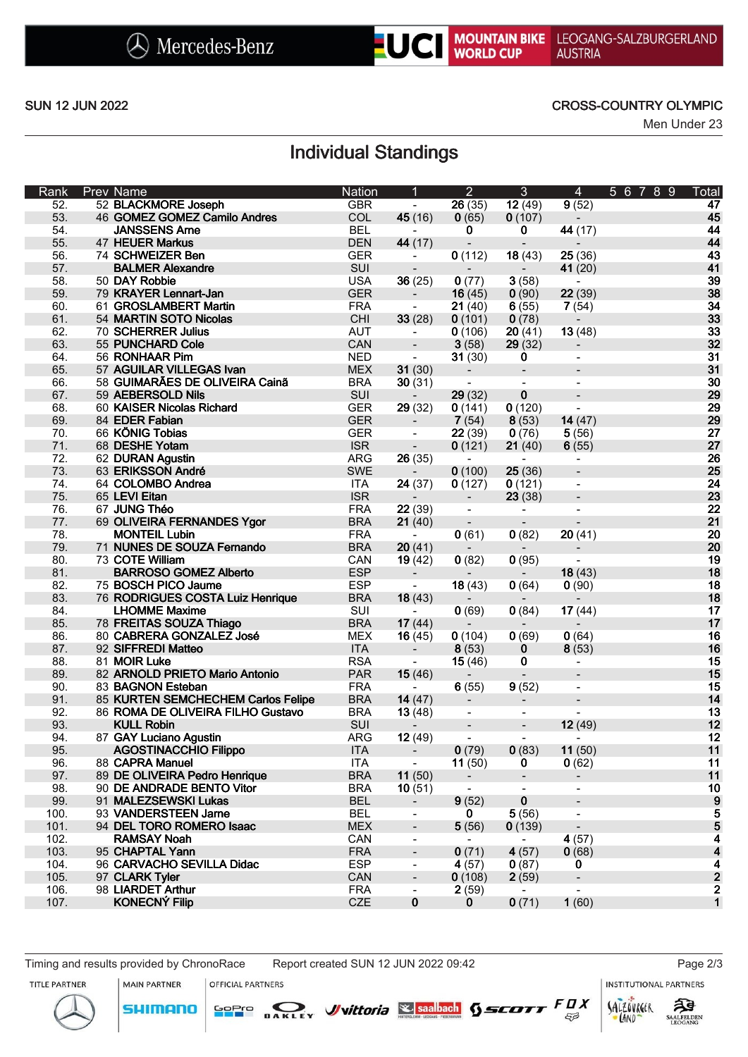

NOUNTAIN BIKE LEOGANG-SALZBURGERLAND

### SUN 12 JUN 2022 CROSS-COUNTRY OLYMPIC

Men Under 23

# Individual Standings

| Rank | <b>Prev Name</b>                                       | <b>Nation</b> | 1                        | $\overline{2}$               | 3                                 | $\overline{4}$                    | 5 6 7<br>89 | Total                   |
|------|--------------------------------------------------------|---------------|--------------------------|------------------------------|-----------------------------------|-----------------------------------|-------------|-------------------------|
| 52.  | 52 BLACKMORE Joseph                                    | <b>GBR</b>    | $\blacksquare$           | 26(35)                       | $\overline{12(49)}$               | 9(52)                             |             | 47                      |
| 53.  | 46 GOMEZ GOMEZ Camilo Andres                           | COL           | 45(16)                   | 0(65)                        | 0(107)                            | $\overline{\phantom{a}}$          |             | 45                      |
| 54.  | <b>JANSSENS Arne</b>                                   | <b>BEL</b>    | $\blacksquare$           | 0                            | $\mathbf 0$                       | 44 (17)                           |             | 44                      |
| 55.  | <b>47 HEUER Markus</b>                                 | <b>DEN</b>    | 44 (17)                  | $\overline{\phantom{a}}$     | $\blacksquare$                    | $\overline{\phantom{a}}$          |             | 44                      |
| 56.  | 74 SCHWEIZER Ben                                       | <b>GER</b>    | $\blacksquare$           | 0(112)                       | 18(43)                            | 25(36)                            |             | 43                      |
| 57.  | <b>BALMER Alexandre</b>                                | SUI           | $\overline{\phantom{a}}$ |                              |                                   | 41 (20)                           |             | 41                      |
| 58.  | 50 DAY Robbie                                          | <b>USA</b>    | 36(25)                   | 0(77)                        | 3(58)                             |                                   |             | 39                      |
| 59.  | 79 KRAYER Lennart-Jan                                  | <b>GER</b>    | $\overline{\phantom{a}}$ | 16(45)                       | 0(90)                             | 22(39)                            |             | 38                      |
| 60.  | 61 GROSLAMBERT Martin                                  | <b>FRA</b>    | $\blacksquare$           | 21(40)                       | 6(55)                             | 7(54)                             |             | 34                      |
| 61.  | 54 MARTIN SOTO Nicolas                                 | CHI           | 33(28)                   | 0(101)                       | 0(78)                             | $\overline{\phantom{a}}$          |             | 33                      |
| 62.  | 70 SCHERRER Julius                                     | <b>AUT</b>    | $\hbox{--}$              | 0(106)                       | 20(41)                            | 13(48)                            |             | 33                      |
| 63.  | 55 PUNCHARD Cole                                       | CAN           | $\blacksquare$           | 3(58)                        | 29(32)                            | $\overline{\phantom{a}}$          |             | 32                      |
| 64.  | 56 RONHAAR Pim                                         | <b>NED</b>    | $\blacksquare$           | 31(30)                       | $\mathbf 0$                       | $\overline{\phantom{a}}$          |             | 31                      |
| 65.  | 57 AGUILAR VILLEGAS Ivan                               | <b>MEX</b>    | 31(30)                   |                              | $\overline{\phantom{a}}$          |                                   |             | 31                      |
| 66.  | 58 GUIMARÃES DE OLIVEIRA Cainã                         | <b>BRA</b>    | 30(31)                   | $\overline{\phantom{a}}$     |                                   |                                   |             | 30                      |
| 67.  | 59 AEBERSOLD Nils                                      | SUI           | $\overline{\phantom{a}}$ | 29(32)                       | $\pmb{0}$                         | $\overline{\phantom{a}}$          |             | 29                      |
| 68.  | 60 KAISER Nicolas Richard                              | <b>GER</b>    | 29(32)                   | 0(141)                       | 0(120)                            | $\blacksquare$                    |             | 29                      |
| 69.  | 84 EDER Fabian                                         | <b>GER</b>    | $\overline{\phantom{a}}$ | 7(54)                        | 8(53)                             | 14(47)                            |             | 29                      |
| 70.  | 66 KÖNIG Tobias                                        | <b>GER</b>    | $\overline{\phantom{a}}$ | 22(39)                       | 0(76)                             | 5(56)                             |             | 27                      |
| 71.  | 68 DESHE Yotam                                         | <b>ISR</b>    | $\overline{\phantom{a}}$ | 0(121)                       | 21(40)                            | 6(55)                             |             | 27                      |
| 72.  | 62 DURAN Agustin                                       | <b>ARG</b>    | 26(35)                   | $\blacksquare$               | $\blacksquare$                    | $\qquad \qquad \blacksquare$      |             | 26                      |
| 73.  | 63 ERIKSSON André                                      | <b>SWE</b>    | $\overline{\phantom{a}}$ | 0(100)                       | 25(36)                            | $\overline{\phantom{a}}$          |             | 25                      |
| 74.  | 64 COLOMBO Andrea                                      | <b>ITA</b>    | 24(37)                   | 0(127)                       | 0(121)                            | $\blacksquare$                    |             | 24                      |
| 75.  | 65 LEVI Eitan                                          | <b>ISR</b>    | $\overline{\phantom{a}}$ | $\overline{\phantom{a}}$     | 23(38)                            | $\overline{\phantom{a}}$          |             | 23                      |
| 76.  | 67 JUNG Théo                                           | <b>FRA</b>    | 22(39)                   | $\blacksquare$               | $\blacksquare$                    | $\overline{a}$                    |             | 22                      |
| 77.  | 69 OLIVEIRA FERNANDES Ygor                             | <b>BRA</b>    | 21(40)                   |                              |                                   |                                   |             | 21                      |
| 78.  | <b>MONTEIL Lubin</b>                                   | <b>FRA</b>    | $\blacksquare$           | 0(61)                        | 0(82)                             | 20(41)                            |             | 20                      |
| 79.  | 71 NUNES DE SOUZA Fernando                             | <b>BRA</b>    | 20(41)                   | $\sim$                       | $\blacksquare$                    |                                   |             | 20                      |
| 80.  | 73 COTE William                                        | CAN           | 19(42)                   | 0(82)                        | 0(95)                             | $\blacksquare$                    |             | 19                      |
| 81.  | <b>BARROSO GOMEZ Alberto</b>                           | <b>ESP</b>    | $\overline{\phantom{a}}$ | $\sim$                       | $\overline{\phantom{a}}$          | 18(43)                            |             | 18                      |
| 82.  | 75 BOSCH PICO Jaume                                    | <b>ESP</b>    | $\blacksquare$           | 18(43)                       | 0(64)                             | 0(90)                             |             | 18                      |
| 83.  | 76 RODRIGUES COSTA Luiz Henrique                       | <b>BRA</b>    | 18(43)                   |                              |                                   |                                   |             | 18                      |
| 84.  | <b>LHOMME Maxime</b>                                   | SUI           |                          | 0(69)                        | 0(84)                             | 17(44)                            |             | 17                      |
| 85.  | 78 FREITAS SOUZA Thiago                                | <b>BRA</b>    | 17(44)                   |                              |                                   |                                   |             | 17                      |
| 86.  | 80 CABRERA GONZALEZ José                               | <b>MEX</b>    |                          |                              |                                   | $\overline{\phantom{a}}$<br>0(64) |             | 16                      |
| 87.  | 92 SIFFREDI Matteo                                     | <b>ITA</b>    | 16(45)                   | 0(104)                       | 0(69)                             |                                   |             | 16                      |
| 88.  | 81 MOIR Luke                                           | <b>RSA</b>    | $\overline{\phantom{a}}$ | 8(53)<br>15(46)              | 0<br>0                            | 8(53)                             |             | 15                      |
| 89.  | 82 ARNOLD PRIETO Mario Antonio                         | <b>PAR</b>    | 15(46)                   |                              | $\qquad \qquad \blacksquare$      | $\qquad \qquad \blacksquare$      |             | 15                      |
| 90.  | 83 BAGNON Esteban                                      | <b>FRA</b>    |                          | $\blacksquare$               |                                   | $\overline{\phantom{a}}$          |             | 15                      |
| 91.  | 85 KURTEN SEMCHECHEM Carlos Felipe                     | <b>BRA</b>    | 14(47)                   | 6(55)                        | 9(52)<br>$\overline{\phantom{a}}$ |                                   |             | 14                      |
| 92.  |                                                        | <b>BRA</b>    |                          | $\overline{\phantom{a}}$     |                                   | $\overline{\phantom{a}}$          |             | 13                      |
| 93.  | 86 ROMA DE OLIVEIRA FILHO Gustavo<br><b>KULL Robin</b> | SUI           | 13(48)                   | $\qquad \qquad \blacksquare$ |                                   | 12(49)                            |             | 12                      |
|      |                                                        | <b>ARG</b>    | $\overline{\phantom{a}}$ | $\qquad \qquad \blacksquare$ | $\overline{\phantom{a}}$          |                                   |             | 12                      |
| 94.  | 87 GAY Luciano Agustin                                 |               | 12(49)                   | $\overline{\phantom{a}}$     | $\blacksquare$                    | $\overline{\phantom{a}}$          |             |                         |
| 95.  | <b>AGOSTINACCHIO Filippo</b>                           | <b>ITA</b>    | $\overline{\phantom{a}}$ | 0(79)                        | 0(83)                             | 11(50)                            |             | 11                      |
| 96.  | 88 CAPRA Manuel                                        | <b>ITA</b>    | $\hbox{\small -}$        | 11(50)                       | 0                                 | 0(62)                             |             | 11                      |
| 97.  | 89 DE OLIVEIRA Pedro Henrique                          | <b>BRA</b>    | 11(50)                   |                              | $\overline{\phantom{a}}$          | $\overline{\phantom{a}}$          |             | 11                      |
| 98.  | 90 DE ANDRADE BENTO Vitor                              | <b>BRA</b>    | 10(51)                   |                              |                                   | $\overline{\phantom{a}}$          |             | 10                      |
| 99.  | 91 MALEZSEWSKI Lukas                                   | <b>BEL</b>    | $\overline{\phantom{a}}$ | 9(52)                        | 0                                 |                                   |             | 9                       |
| 100. | 93 VANDERSTEEN Jarne                                   | <b>BEL</b>    | $\blacksquare$           | $\mathbf{0}$                 | 5(56)                             | $\overline{\phantom{a}}$          |             | 5                       |
| 101. | 94 DEL TORO ROMERO Isaac                               | <b>MEX</b>    | $\overline{\phantom{a}}$ | 5(56)                        | 0(139)                            | $\blacksquare$                    |             | 5                       |
| 102. | <b>RAMSAY Noah</b>                                     | CAN           | $\blacksquare$           | $\overline{\phantom{0}}$     | $\blacksquare$                    | 4(57)                             |             | 4                       |
| 103. | 95 CHAPTAL Yann                                        | <b>FRA</b>    | $\overline{\phantom{a}}$ | 0(71)                        | 4(57)                             | 0(68)                             |             | $\overline{\mathbf{A}}$ |
| 104. | 96 CARVACHO SEVILLA Didac                              | <b>ESP</b>    | $\blacksquare$           | 4(57)                        | 0(87)                             | 0                                 |             | $\overline{\mathbf{4}}$ |
| 105. | 97 CLARK Tyler                                         | CAN           | $\overline{\phantom{a}}$ | 0(108)                       | 2(59)                             | $\frac{1}{2}$                     |             | $\mathbf{2}$            |
| 106. | 98 LIARDET Arthur                                      | <b>FRA</b>    | $\blacksquare$           | 2(59)                        |                                   |                                   |             | 2                       |
| 107. | <b>KONECNÝ Filip</b>                                   | CZE           | $\bf{0}$                 | 0                            | 0(71)                             | 1(60)                             |             | $\mathbf 1$             |

**SHIMANO** 

**MAIN PARTNER** OFFICIAL PARTNERS

Timing and results provided by ChronoRace Report created SUN 12 JUN 2022 09:42 Page 2/3

SOPIO DAKLEY Vittoria & saabach SSCOTT FUX

**INSTITUTIONAL PARTNERS** 





 $53$